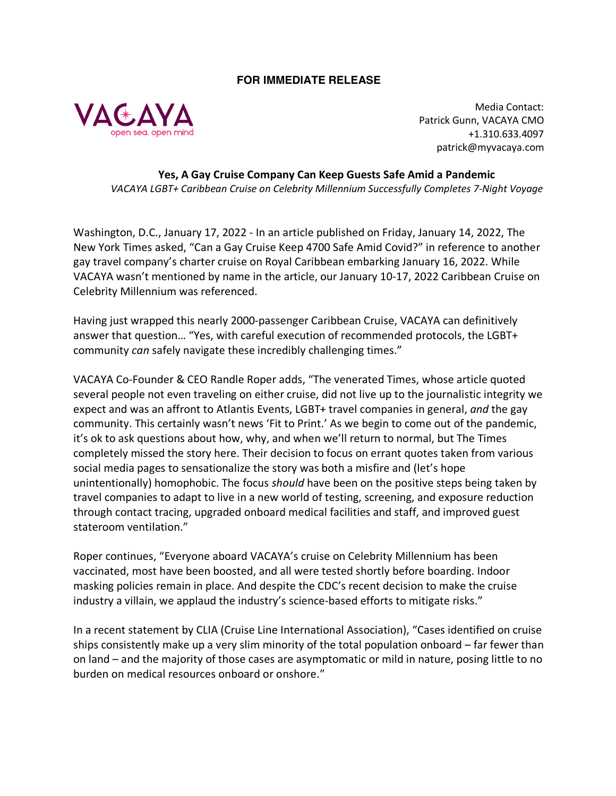## **FOR IMMEDIATE RELEASE**



Media Contact: Patrick Gunn, VACAYA CMO +1.310.633.4097 patrick@myvacaya.com

**Yes, A Gay Cruise Company Can Keep Guests Safe Amid a Pandemic**  *VACAYA LGBT+ Caribbean Cruise on Celebrity Millennium Successfully Completes 7-Night Voyage*

Washington, D.C., January 17, 2022 - In an article published on Friday, January 14, 2022, The New York Times asked, "Can a Gay Cruise Keep 4700 Safe Amid Covid?" in reference to another gay travel company's charter cruise on Royal Caribbean embarking January 16, 2022. While VACAYA wasn't mentioned by name in the article, our January 10-17, 2022 Caribbean Cruise on Celebrity Millennium was referenced.

Having just wrapped this nearly 2000-passenger Caribbean Cruise, VACAYA can definitively answer that question… "Yes, with careful execution of recommended protocols, the LGBT+ community *can* safely navigate these incredibly challenging times."

VACAYA Co-Founder & CEO Randle Roper adds, "The venerated Times, whose article quoted several people not even traveling on either cruise, did not live up to the journalistic integrity we expect and was an affront to Atlantis Events, LGBT+ travel companies in general, *and* the gay community. This certainly wasn't news 'Fit to Print.' As we begin to come out of the pandemic, it's ok to ask questions about how, why, and when we'll return to normal, but The Times completely missed the story here. Their decision to focus on errant quotes taken from various social media pages to sensationalize the story was both a misfire and (let's hope unintentionally) homophobic. The focus *should* have been on the positive steps being taken by travel companies to adapt to live in a new world of testing, screening, and exposure reduction through contact tracing, upgraded onboard medical facilities and staff, and improved guest stateroom ventilation."

Roper continues, "Everyone aboard VACAYA's cruise on Celebrity Millennium has been vaccinated, most have been boosted, and all were tested shortly before boarding. Indoor masking policies remain in place. And despite the CDC's recent decision to make the cruise industry a villain, we applaud the industry's science-based efforts to mitigate risks."

In a recent statement by CLIA (Cruise Line International Association), "Cases identified on cruise ships consistently make up a very slim minority of the total population onboard – far fewer than on land – and the majority of those cases are asymptomatic or mild in nature, posing little to no burden on medical resources onboard or onshore."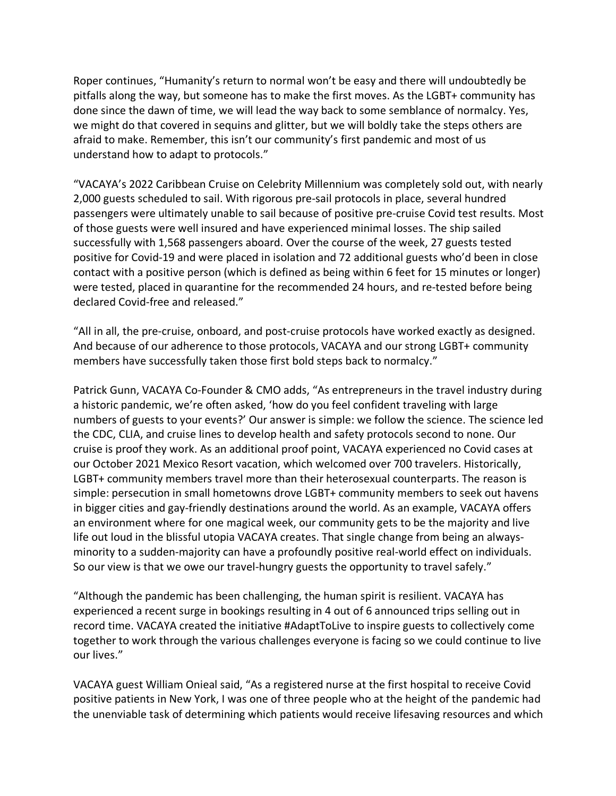Roper continues, "Humanity's return to normal won't be easy and there will undoubtedly be pitfalls along the way, but someone has to make the first moves. As the LGBT+ community has done since the dawn of time, we will lead the way back to some semblance of normalcy. Yes, we might do that covered in sequins and glitter, but we will boldly take the steps others are afraid to make. Remember, this isn't our community's first pandemic and most of us understand how to adapt to protocols."

"VACAYA's 2022 Caribbean Cruise on Celebrity Millennium was completely sold out, with nearly 2,000 guests scheduled to sail. With rigorous pre-sail protocols in place, several hundred passengers were ultimately unable to sail because of positive pre-cruise Covid test results. Most of those guests were well insured and have experienced minimal losses. The ship sailed successfully with 1,568 passengers aboard. Over the course of the week, 27 guests tested positive for Covid-19 and were placed in isolation and 72 additional guests who'd been in close contact with a positive person (which is defined as being within 6 feet for 15 minutes or longer) were tested, placed in quarantine for the recommended 24 hours, and re-tested before being declared Covid-free and released."

"All in all, the pre-cruise, onboard, and post-cruise protocols have worked exactly as designed. And because of our adherence to those protocols, VACAYA and our strong LGBT+ community members have successfully taken those first bold steps back to normalcy."

Patrick Gunn, VACAYA Co-Founder & CMO adds, "As entrepreneurs in the travel industry during a historic pandemic, we're often asked, 'how do you feel confident traveling with large numbers of guests to your events?' Our answer is simple: we follow the science. The science led the CDC, CLIA, and cruise lines to develop health and safety protocols second to none. Our cruise is proof they work. As an additional proof point, VACAYA experienced no Covid cases at our October 2021 Mexico Resort vacation, which welcomed over 700 travelers. Historically, LGBT+ community members travel more than their heterosexual counterparts. The reason is simple: persecution in small hometowns drove LGBT+ community members to seek out havens in bigger cities and gay-friendly destinations around the world. As an example, VACAYA offers an environment where for one magical week, our community gets to be the majority and live life out loud in the blissful utopia VACAYA creates. That single change from being an alwaysminority to a sudden-majority can have a profoundly positive real-world effect on individuals. So our view is that we owe our travel-hungry guests the opportunity to travel safely."

"Although the pandemic has been challenging, the human spirit is resilient. VACAYA has experienced a recent surge in bookings resulting in 4 out of 6 announced trips selling out in record time. VACAYA created the initiative #AdaptToLive to inspire guests to collectively come together to work through the various challenges everyone is facing so we could continue to live our lives."

VACAYA guest William Onieal said, "As a registered nurse at the first hospital to receive Covid positive patients in New York, I was one of three people who at the height of the pandemic had the unenviable task of determining which patients would receive lifesaving resources and which